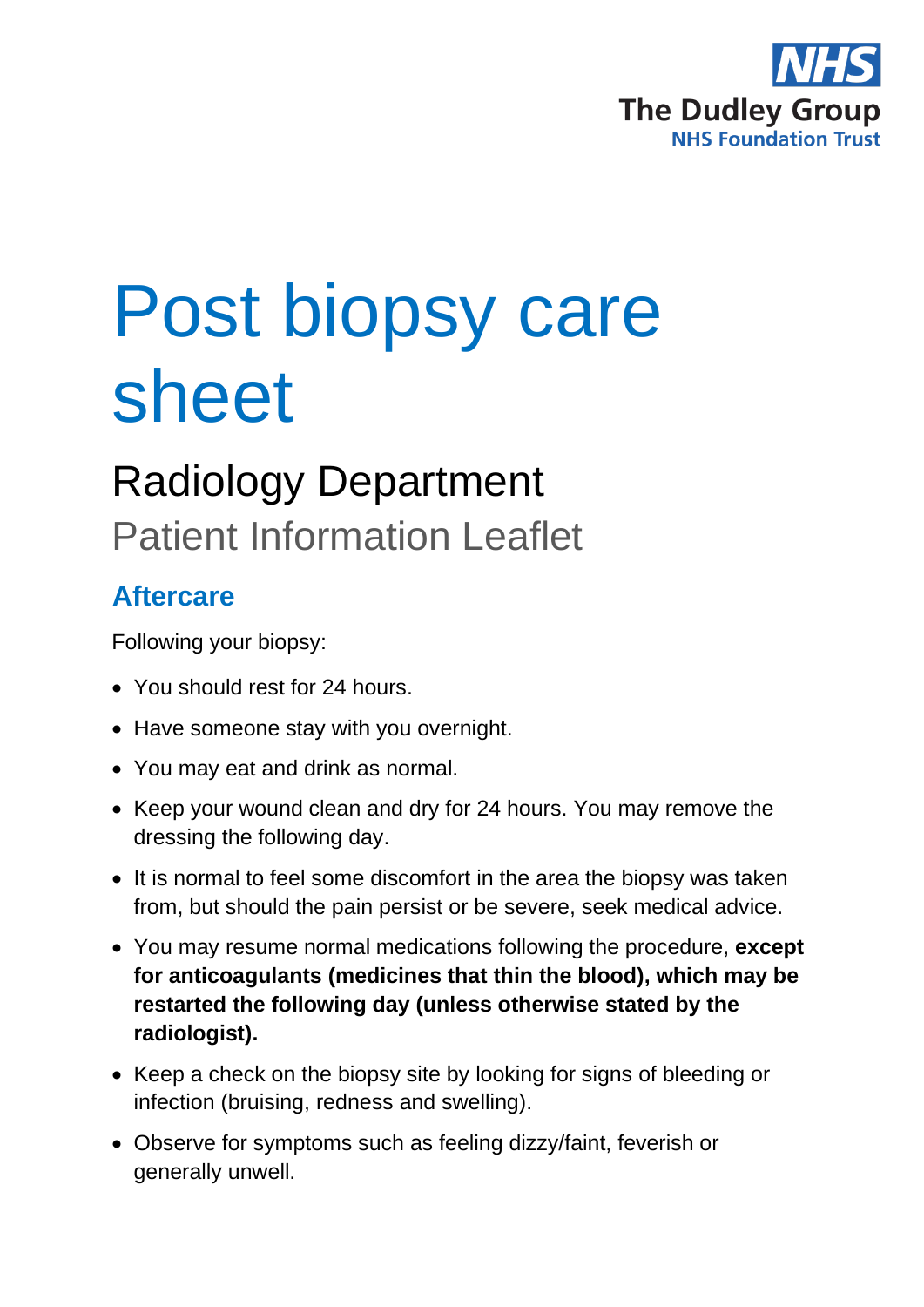

# Post biopsy care sheet

# Radiology Department Patient Information Leaflet

## **Aftercare**

Following your biopsy:

- You should rest for 24 hours.
- Have someone stay with you overnight.
- You may eat and drink as normal.
- Keep your wound clean and dry for 24 hours. You may remove the dressing the following day.
- It is normal to feel some discomfort in the area the biopsy was taken from, but should the pain persist or be severe, seek medical advice.
- You may resume normal medications following the procedure, **except for anticoagulants (medicines that thin the blood), which may be restarted the following day (unless otherwise stated by the radiologist).**
- Keep a check on the biopsy site by looking for signs of bleeding or infection (bruising, redness and swelling).
- Observe for symptoms such as feeling dizzy/faint, feverish or generally unwell.